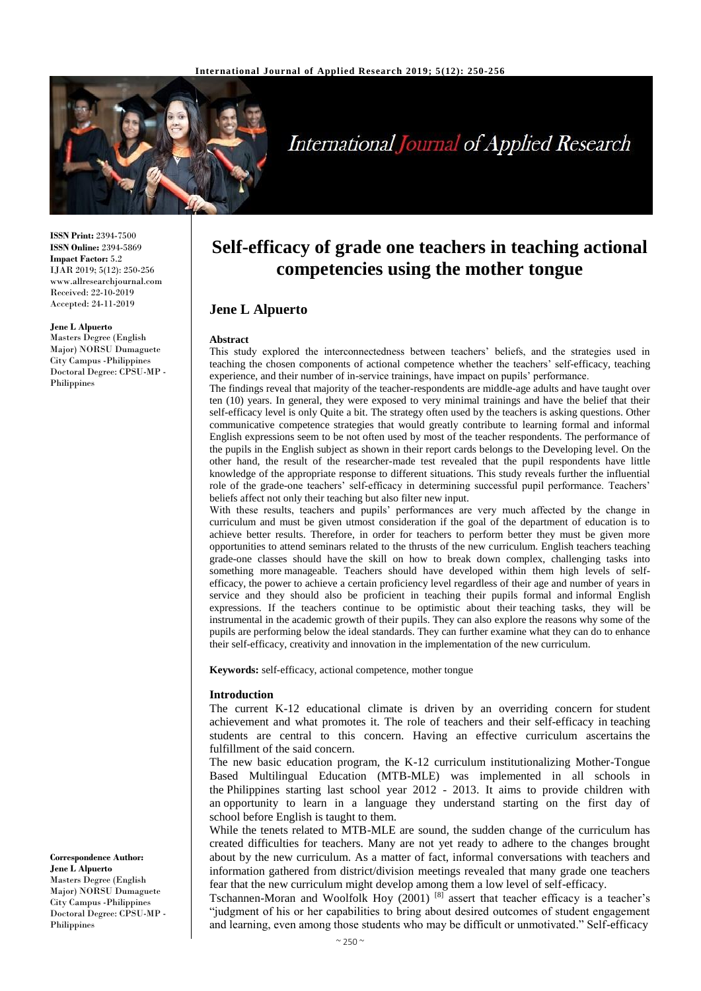

# **International Journal of Applied Research**

**ISSN Print:** 2394-7500 **ISSN Online:** 2394-5869 **Impact Factor:** 5.2 IJAR 2019; 5(12): 250-256 www.allresearchjournal.com Received: 22-10-2019 Accepted: 24-11-2019

#### **Jene L Alpuerto**

Masters Degree (English Major) NORSU Dumaguete City Campus -Philippines Doctoral Degree: CPSU-MP - Philippines

**Correspondence Author: Jene L Alpuerto** Masters Degree (English Major) NORSU Dumaguete City Campus -Philippines Doctoral Degree: CPSU-MP - Philippines

# **Self-efficacy of grade one teachers in teaching actional competencies using the mother tongue**

# **Jene L Alpuerto**

#### **Abstract**

This study explored the interconnectedness between teachers' beliefs, and the strategies used in teaching the chosen components of actional competence whether the teachers' self-efficacy, teaching experience, and their number of in-service trainings, have impact on pupils' performance.

The findings reveal that majority of the teacher-respondents are middle-age adults and have taught over ten (10) years. In general, they were exposed to very minimal trainings and have the belief that their self-efficacy level is only Quite a bit. The strategy often used by the teachers is asking questions. Other communicative competence strategies that would greatly contribute to learning formal and informal English expressions seem to be not often used by most of the teacher respondents. The performance of the pupils in the English subject as shown in their report cards belongs to the Developing level. On the other hand, the result of the researcher-made test revealed that the pupil respondents have little knowledge of the appropriate response to different situations. This study reveals further the influential role of the grade-one teachers' self-efficacy in determining successful pupil performance. Teachers' beliefs affect not only their teaching but also filter new input.

With these results, teachers and pupils' performances are very much affected by the change in curriculum and must be given utmost consideration if the goal of the department of education is to achieve better results. Therefore, in order for teachers to perform better they must be given more opportunities to attend seminars related to the thrusts of the new curriculum. English teachers teaching grade-one classes should have the skill on how to break down complex, challenging tasks into something more manageable. Teachers should have developed within them high levels of selfefficacy, the power to achieve a certain proficiency level regardless of their age and number of years in service and they should also be proficient in teaching their pupils formal and informal English expressions. If the teachers continue to be optimistic about their teaching tasks, they will be instrumental in the academic growth of their pupils. They can also explore the reasons why some of the pupils are performing below the ideal standards. They can further examine what they can do to enhance their self-efficacy, creativity and innovation in the implementation of the new curriculum.

**Keywords:** self-efficacy, actional competence, mother tongue

#### **Introduction**

The current K-12 educational climate is driven by an overriding concern for student achievement and what promotes it. The role of teachers and their self-efficacy in teaching students are central to this concern. Having an effective curriculum ascertains the fulfillment of the said concern.

The new basic education program, the K-12 curriculum institutionalizing Mother-Tongue Based Multilingual Education (MTB-MLE) was implemented in all schools in the Philippines starting last school year 2012 - 2013. It aims to provide children with an opportunity to learn in a language they understand starting on the first day of school before English is taught to them.

While the tenets related to MTB-MLE are sound, the sudden change of the curriculum has created difficulties for teachers. Many are not yet ready to adhere to the changes brought about by the new curriculum. As a matter of fact, informal conversations with teachers and information gathered from district/division meetings revealed that many grade one teachers fear that the new curriculum might develop among them a low level of self-efficacy.

Tschannen-Moran and Woolfolk Hoy (2001) [8] assert that teacher efficacy is a teacher's "judgment of his or her capabilities to bring about desired outcomes of student engagement and learning, even among those students who may be difficult or unmotivated." Self-efficacy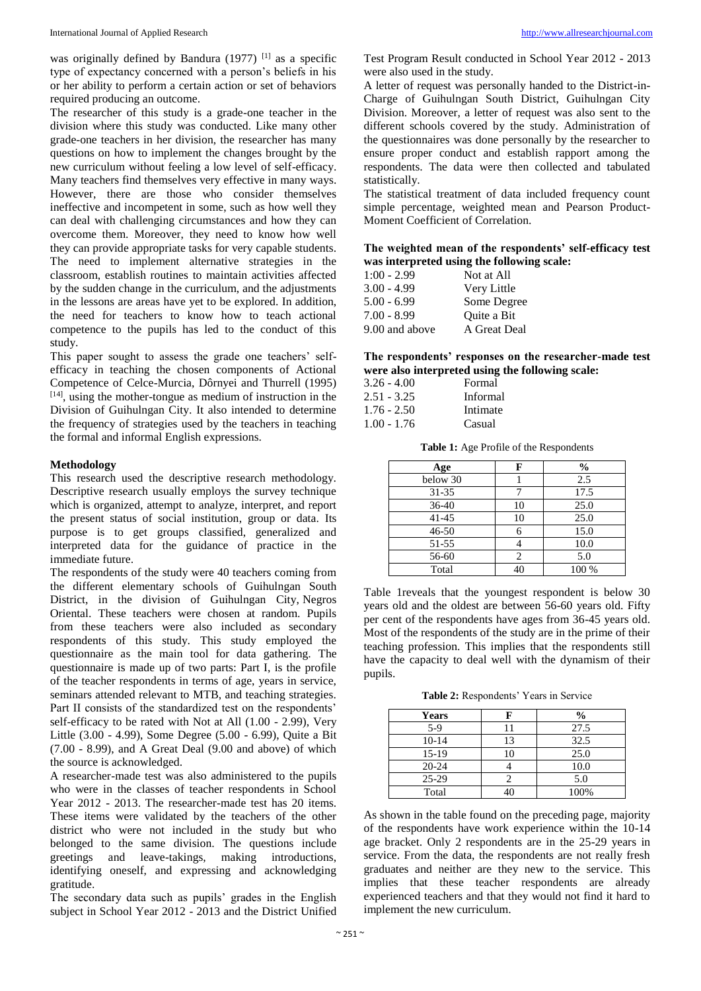was originally defined by Bandura  $(1977)$ <sup>[1]</sup> as a specific type of expectancy concerned with a person's beliefs in his or her ability to perform a certain action or set of behaviors required producing an outcome.

The researcher of this study is a grade-one teacher in the division where this study was conducted. Like many other grade-one teachers in her division, the researcher has many questions on how to implement the changes brought by the new curriculum without feeling a low level of self-efficacy. Many teachers find themselves very effective in many ways. However, there are those who consider themselves ineffective and incompetent in some, such as how well they can deal with challenging circumstances and how they can overcome them. Moreover, they need to know how well they can provide appropriate tasks for very capable students. The need to implement alternative strategies in the classroom, establish routines to maintain activities affected by the sudden change in the curriculum, and the adjustments in the lessons are areas have yet to be explored. In addition, the need for teachers to know how to teach actional competence to the pupils has led to the conduct of this study.

This paper sought to assess the grade one teachers' selfefficacy in teaching the chosen components of Actional Competence of Celce-Murcia, Dôrnyei and Thurrell (1995)  $[14]$ , using the mother-tongue as medium of instruction in the Division of Guihulngan City. It also intended to determine the frequency of strategies used by the teachers in teaching the formal and informal English expressions.

#### **Methodology**

This research used the descriptive research methodology. Descriptive research usually employs the survey technique which is organized, attempt to analyze, interpret, and report the present status of social institution, group or data. Its purpose is to get groups classified, generalized and interpreted data for the guidance of practice in the immediate future.

The respondents of the study were 40 teachers coming from the different elementary schools of Guihulngan South District, in the division of Guihulngan City, Negros Oriental. These teachers were chosen at random. Pupils from these teachers were also included as secondary respondents of this study. This study employed the questionnaire as the main tool for data gathering. The questionnaire is made up of two parts: Part I, is the profile of the teacher respondents in terms of age, years in service, seminars attended relevant to MTB, and teaching strategies. Part II consists of the standardized test on the respondents' self-efficacy to be rated with Not at All (1.00 - 2.99), Very Little (3.00 - 4.99), Some Degree (5.00 - 6.99), Quite a Bit (7.00 - 8.99), and A Great Deal (9.00 and above) of which the source is acknowledged.

A researcher-made test was also administered to the pupils who were in the classes of teacher respondents in School Year 2012 - 2013. The researcher-made test has 20 items. These items were validated by the teachers of the other district who were not included in the study but who belonged to the same division. The questions include greetings and leave-takings, making introductions, identifying oneself, and expressing and acknowledging gratitude.

The secondary data such as pupils' grades in the English subject in School Year 2012 - 2013 and the District Unified Test Program Result conducted in School Year 2012 - 2013 were also used in the study.

A letter of request was personally handed to the District-in-Charge of Guihulngan South District, Guihulngan City Division. Moreover, a letter of request was also sent to the different schools covered by the study. Administration of the questionnaires was done personally by the researcher to ensure proper conduct and establish rapport among the respondents. The data were then collected and tabulated statistically.

The statistical treatment of data included frequency count simple percentage, weighted mean and Pearson Product-Moment Coefficient of Correlation.

**The weighted mean of the respondents' self-efficacy test was interpreted using the following scale:**

| $1:00 - 2.99$  | Not at All   |
|----------------|--------------|
| $3.00 - 4.99$  | Very Little  |
| $5.00 - 6.99$  | Some Degree  |
| $7.00 - 8.99$  | Ouite a Bit  |
| 9.00 and above | A Great Deal |

**The respondents' responses on the researcher-made test were also interpreted using the following scale:**

| $3.26 - 4.00$ | Formal   |
|---------------|----------|
| 2.51 - 3.25   | Informal |
| $1.76 - 2.50$ | Intimate |
| $1.00 - 1.76$ | Casual   |

**Table 1:** Age Profile of the Respondents

| Age       | F  | $\frac{0}{0}$ |
|-----------|----|---------------|
| below 30  |    | 2.5           |
| $31 - 35$ |    | 17.5          |
| 36-40     | 10 | 25.0          |
| $41 - 45$ | 10 | 25.0          |
| $46 - 50$ |    | 15.0          |
| 51-55     |    | 10.0          |
| 56-60     |    | 5.0           |
| Total     | 40 | 100 %         |

Table 1reveals that the youngest respondent is below 30 years old and the oldest are between 56-60 years old. Fifty per cent of the respondents have ages from 36-45 years old. Most of the respondents of the study are in the prime of their teaching profession. This implies that the respondents still have the capacity to deal well with the dynamism of their pupils.

**Table 2:** Respondents' Years in Service

| <b>Years</b> |    | $\frac{0}{0}$ |
|--------------|----|---------------|
| $5-9$        |    | 27.5          |
| $10 - 14$    | 13 | 32.5          |
| 15-19        | 10 | 25.0          |
| $20 - 24$    |    | 10.0          |
| $25-29$      |    | 5.0           |
| Total        |    | 100%          |

As shown in the table found on the preceding page, majority of the respondents have work experience within the 10-14 age bracket. Only 2 respondents are in the 25-29 years in service. From the data, the respondents are not really fresh graduates and neither are they new to the service. This implies that these teacher respondents are already experienced teachers and that they would not find it hard to implement the new curriculum.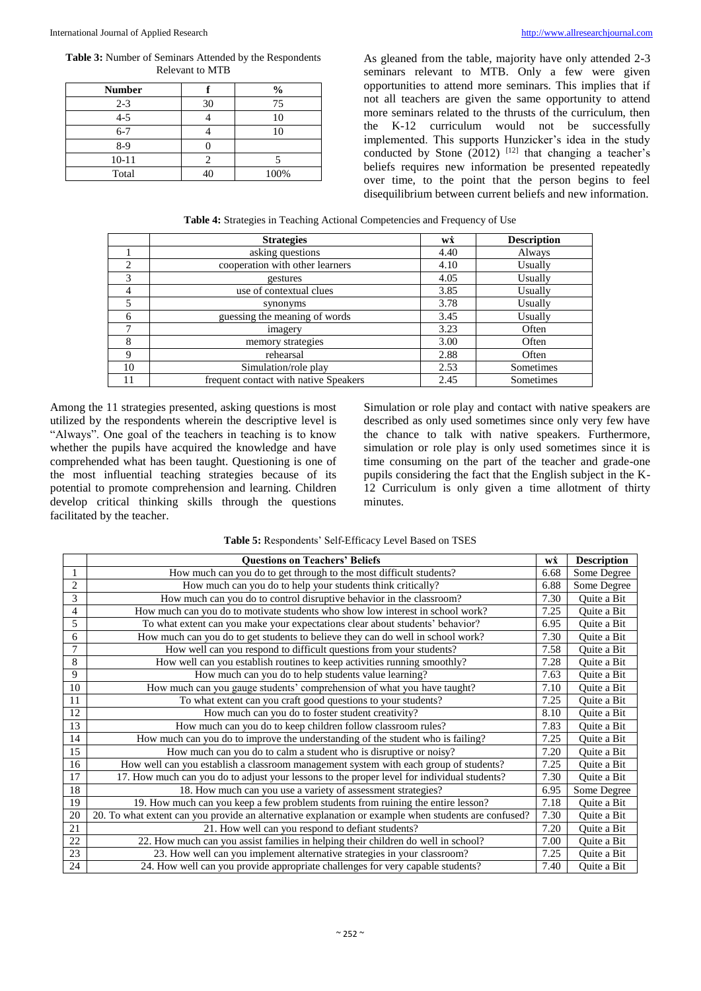**Table 3:** Number of Seminars Attended by the Respondents Relevant to MTB

| <b>Number</b> |    | $\frac{0}{0}$ |
|---------------|----|---------------|
| $2 - 3$       | 30 | 75            |
| $4 - 5$       |    |               |
| $6 - 7$       |    |               |
| $8-9$         |    |               |
| $10 - 11$     |    |               |
| Total         |    | 100%          |

As gleaned from the table, majority have only attended 2-3 seminars relevant to MTB. Only a few were given opportunities to attend more seminars. This implies that if not all teachers are given the same opportunity to attend more seminars related to the thrusts of the curriculum, then the K-12 curriculum would not be successfully implemented. This supports Hunzicker's idea in the study conducted by Stone  $(2012)$  <sup>[12]</sup> that changing a teacher's beliefs requires new information be presented repeatedly over time, to the point that the person begins to feel disequilibrium between current beliefs and new information.

**Table 4:** Strategies in Teaching Actional Competencies and Frequency of Use

|                | <b>Strategies</b>                     | wż   | <b>Description</b> |
|----------------|---------------------------------------|------|--------------------|
|                | asking questions                      | 4.40 | Always             |
| $\overline{c}$ | cooperation with other learners       | 4.10 | Usually            |
| 3              | gestures                              | 4.05 | Usually            |
| 4              | use of contextual clues               | 3.85 | Usually            |
|                | synonyms                              | 3.78 | Usually            |
| 6              | guessing the meaning of words         | 3.45 | Usually            |
| ┑              | imagery                               | 3.23 | Often              |
| 8              | memory strategies                     | 3.00 | Often              |
| $\mathbf Q$    | rehearsal                             | 2.88 | Often              |
| 10             | Simulation/role play                  | 2.53 | Sometimes          |
| 11             | frequent contact with native Speakers | 2.45 | Sometimes          |

Among the 11 strategies presented, asking questions is most utilized by the respondents wherein the descriptive level is "Always". One goal of the teachers in teaching is to know whether the pupils have acquired the knowledge and have comprehended what has been taught. Questioning is one of the most influential teaching strategies because of its potential to promote comprehension and learning. Children develop critical thinking skills through the questions facilitated by the teacher.

Simulation or role play and contact with native speakers are described as only used sometimes since only very few have the chance to talk with native speakers. Furthermore, simulation or role play is only used sometimes since it is time consuming on the part of the teacher and grade-one pupils considering the fact that the English subject in the K-12 Curriculum is only given a time allotment of thirty minutes.

| Table 5: Respondents' Self-Efficacy Level Based on TSES |  |  |  |
|---------------------------------------------------------|--|--|--|
|---------------------------------------------------------|--|--|--|

|                 | <b>Questions on Teachers' Beliefs</b>                                                                | wż   | <b>Description</b> |
|-----------------|------------------------------------------------------------------------------------------------------|------|--------------------|
|                 | How much can you do to get through to the most difficult students?                                   | 6.68 | Some Degree        |
| $\overline{2}$  | How much can you do to help your students think critically?                                          | 6.88 | Some Degree        |
| 3               | How much can you do to control disruptive behavior in the classroom?                                 | 7.30 | Quite a Bit        |
| $\overline{4}$  | How much can you do to motivate students who show low interest in school work?                       | 7.25 | Ouite a Bit        |
| 5               | To what extent can you make your expectations clear about students' behavior?                        | 6.95 | Quite a Bit        |
| 6               | How much can you do to get students to believe they can do well in school work?                      | 7.30 | Quite a Bit        |
| 7               | How well can you respond to difficult questions from your students?                                  | 7.58 | Quite a Bit        |
| 8               | How well can you establish routines to keep activities running smoothly?                             | 7.28 | Quite a Bit        |
| 9               | How much can you do to help students value learning?                                                 | 7.63 | Quite a Bit        |
| 10              | How much can you gauge students' comprehension of what you have taught?                              | 7.10 | Ouite a Bit        |
| 11              | To what extent can you craft good questions to your students?                                        | 7.25 | Quite a Bit        |
| 12              | How much can you do to foster student creativity?                                                    | 8.10 | Ouite a Bit        |
| 13              | How much can you do to keep children follow classroom rules?                                         | 7.83 | Quite a Bit        |
| 14              | How much can you do to improve the understanding of the student who is failing?                      | 7.25 | Quite a Bit        |
| 15              | How much can you do to calm a student who is disruptive or noisy?                                    | 7.20 | Quite a Bit        |
| 16              | How well can you establish a classroom management system with each group of students?                | 7.25 | Quite a Bit        |
| 17              | 17. How much can you do to adjust your lessons to the proper level for individual students?          | 7.30 | Quite a Bit        |
| $\overline{18}$ | 18. How much can you use a variety of assessment strategies?                                         | 6.95 | Some Degree        |
| 19              | 19. How much can you keep a few problem students from ruining the entire lesson?                     | 7.18 | Ouite a Bit        |
| 20              | 20. To what extent can you provide an alternative explanation or example when students are confused? | 7.30 | Quite a Bit        |
| 21              | 21. How well can you respond to defiant students?                                                    | 7.20 | Ouite a Bit        |
| $\overline{22}$ | 22. How much can you assist families in helping their children do well in school?                    | 7.00 | Quite a Bit        |
| $\overline{23}$ | 23. How well can you implement alternative strategies in your classroom?                             | 7.25 | Quite a Bit        |
| 24              | 24. How well can you provide appropriate challenges for very capable students?                       | 7.40 | Quite a Bit        |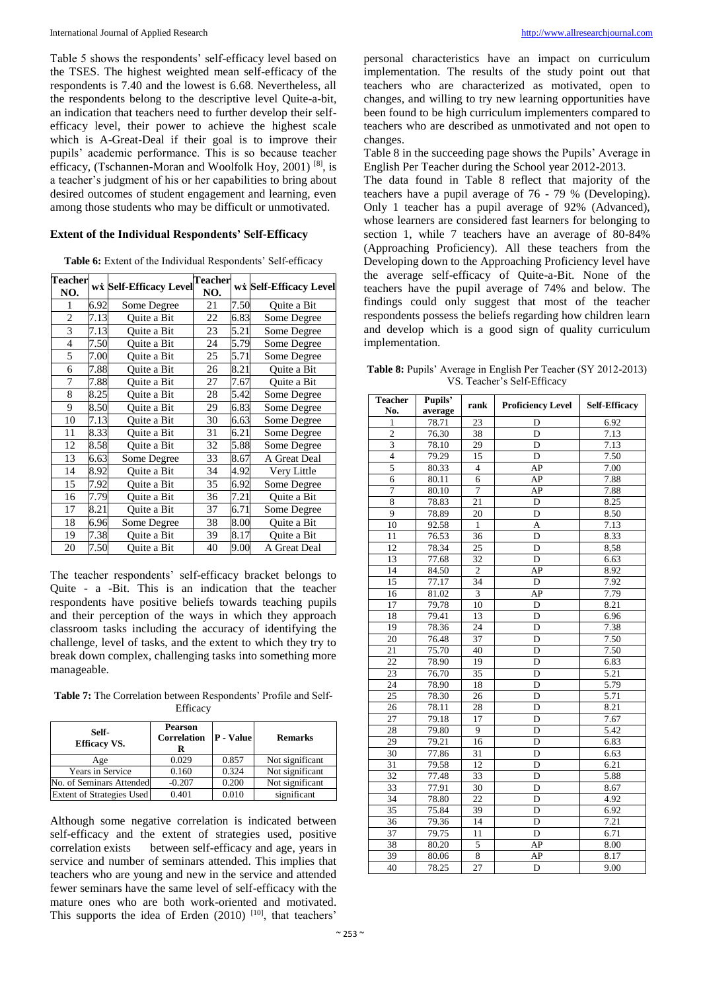Table 5 shows the respondents' self-efficacy level based on the TSES. The highest weighted mean self-efficacy of the respondents is 7.40 and the lowest is 6.68. Nevertheless, all the respondents belong to the descriptive level Quite-a-bit, an indication that teachers need to further develop their selfefficacy level, their power to achieve the highest scale which is A-Great-Deal if their goal is to improve their pupils' academic performance. This is so because teacher efficacy, (Tschannen-Moran and Woolfolk Hoy, 2001) [8], is a teacher's judgment of his or her capabilities to bring about desired outcomes of student engagement and learning, even among those students who may be difficult or unmotivated.

#### **Extent of the Individual Respondents' Self-Efficacy**

**Table 6:** Extent of the Individual Respondents' Self-efficacy

| <b>Teacher</b><br>NO.    |      | wi Self-Efficacy Level | <b>Teacher</b><br>NO. |      | wi Self-Efficacy Level |
|--------------------------|------|------------------------|-----------------------|------|------------------------|
|                          | 6.92 | Some Degree            | 21                    | 7.50 | Quite a Bit            |
| $\overline{c}$           | 7.13 | Ouite a Bit            | 22                    | 6.83 | Some Degree            |
| 3                        | 7.13 | Ouite a Bit            | 23                    | 5.21 | Some Degree            |
| $\overline{\mathcal{L}}$ | 7.50 | Ouite a Bit            | 24                    | 5.79 | Some Degree            |
| 5                        | 7.00 | Ouite a Bit            | 25                    | 5.71 | Some Degree            |
| 6                        | 7.88 | Ouite a Bit            | 26                    | 8.21 | Ouite a Bit            |
| 7                        | 7.88 | Ouite a Bit            | 27                    | 7.67 | Quite a Bit            |
| 8                        | 8.25 | Ouite a Bit            | 28                    | 5.42 | Some Degree            |
| 9                        | 8.50 | Ouite a Bit            | 29                    | 6.83 | Some Degree            |
| 10                       | 7.13 | Ouite a Bit            | 30                    | 6.63 | Some Degree            |
| 11                       | 8.33 | Ouite a Bit            | 31                    | 6.21 | Some Degree            |
| 12                       | 8.58 | Ouite a Bit            | 32                    | 5.88 | Some Degree            |
| 13                       | 6.63 | Some Degree            | 33                    | 8.67 | A Great Deal           |
| 14                       | 8.92 | Quite a Bit            | 34                    | 4.92 | Very Little            |
| 15                       | 7.92 | Ouite a Bit            | 35                    | 6.92 | Some Degree            |
| 16                       | 7.79 | Quite a Bit            | 36                    | 7.21 | Quite a Bit            |
| 17                       | 8.21 | Quite a Bit            | 37                    | 6.71 | Some Degree            |
| 18                       | 6.96 | Some Degree            | 38                    | 8.00 | Ouite a Bit            |
| 19                       | 7.38 | Ouite a Bit            | 39                    | 8.17 | Ouite a Bit            |
| 20                       | 7.50 | Ouite a Bit            | 40                    | 9.00 | A Great Deal           |

The teacher respondents' self-efficacy bracket belongs to Quite - a -Bit. This is an indication that the teacher respondents have positive beliefs towards teaching pupils and their perception of the ways in which they approach classroom tasks including the accuracy of identifying the challenge, level of tasks, and the extent to which they try to break down complex, challenging tasks into something more manageable.

**Table 7:** The Correlation between Respondents' Profile and Self-**Efficacy** 

| Self-<br><b>Efficacy VS.</b>     | <b>Pearson</b><br><b>Correlation</b><br>ĸ | <b>P</b> - Value | <b>Remarks</b>  |
|----------------------------------|-------------------------------------------|------------------|-----------------|
| Age                              | 0.029                                     | 0.857            | Not significant |
| Years in Service                 | 0.160                                     | 0.324            | Not significant |
| No. of Seminars Attended         | $-0.207$                                  | 0.200            | Not significant |
| <b>Extent of Strategies Used</b> | 0.401                                     | 0.010            | significant     |

Although some negative correlation is indicated between self-efficacy and the extent of strategies used, positive correlation exists between self-efficacy and age, years in service and number of seminars attended. This implies that teachers who are young and new in the service and attended fewer seminars have the same level of self-efficacy with the mature ones who are both work-oriented and motivated. This supports the idea of Erden  $(2010)$  [10], that teachers'

personal characteristics have an impact on curriculum implementation. The results of the study point out that teachers who are characterized as motivated, open to changes, and willing to try new learning opportunities have been found to be high curriculum implementers compared to teachers who are described as unmotivated and not open to changes.

Table 8 in the succeeding page shows the Pupils' Average in English Per Teacher during the School year 2012-2013.

The data found in Table 8 reflect that majority of the teachers have a pupil average of 76 - 79 % (Developing). Only 1 teacher has a pupil average of 92% (Advanced), whose learners are considered fast learners for belonging to section 1, while 7 teachers have an average of 80-84% (Approaching Proficiency). All these teachers from the Developing down to the Approaching Proficiency level have the average self-efficacy of Quite-a-Bit. None of the teachers have the pupil average of 74% and below. The findings could only suggest that most of the teacher respondents possess the beliefs regarding how children learn and develop which is a good sign of quality curriculum implementation.

**Table 8:** Pupils' Average in English Per Teacher (SY 2012-2013) VS. Teacher's Self-Efficacy

| <b>Teacher</b><br>No.     | Pupils'<br>average | rank                    | <b>Proficiency Level</b> | <b>Self-Efficacy</b> |
|---------------------------|--------------------|-------------------------|--------------------------|----------------------|
| $\mathbf{1}$              | 78.71              | 23                      | D                        | 6.92                 |
| $\overline{\mathbf{c}}$   | 76.30              | 38                      | D                        | 7.13                 |
| $\overline{\overline{3}}$ | 78.10              | 29                      | $\overline{D}$           | 7.13                 |
| $\overline{4}$            | 79.29              | 15                      | D                        | 7.50                 |
| 5                         | 80.33              | $\overline{\mathbf{4}}$ | AP                       | 7.00                 |
| 6                         | 80.11              | 6                       | AP                       | 7.88                 |
| 7                         | 80.10              | $\overline{7}$          | AP                       | 7.88                 |
| $\overline{8}$            | 78.83              | 21                      | D                        | 8.25                 |
| 9                         | 78.89              | 20                      | $\mathbf D$              | 8.50                 |
| 10                        | 92.58              | 1                       | A                        | 7.13                 |
| 11                        |                    | 36                      | D                        | 8.33                 |
| $\overline{12}$           | 76.53<br>78.34     | 25                      | D                        | 8,58                 |
|                           |                    |                         |                          |                      |
| 13                        | 77.68              | 32<br>$\overline{2}$    | D                        | 6.63                 |
| 14                        | 84.50              |                         | AP                       | 8.92                 |
| 15                        | 77.17              | 34                      | $\mathbf D$              | 7.92                 |
| 16                        | 81.02              | $\overline{\mathbf{3}}$ | AP                       | 7.79                 |
| $\overline{17}$           | 79.78              | 10                      | D                        | 8.21                 |
| 18                        | 79.41              | 13                      | D                        | 6.96                 |
| 19                        | 78.36              | 24                      | D                        | 7.38                 |
| 20                        | 76.48              | 37                      | D                        | 7.50                 |
| 21                        | 75.70              | 40                      | D                        | 7.50                 |
| 22                        | 78.90              | 19                      | D                        | 6.83                 |
| 23                        | 76.70              | 35                      | D                        | 5.21                 |
| 24                        | 78.90              | 18                      | D                        | 5.79                 |
| 25                        | 78.30              | 26                      | D                        | 5.71                 |
| 26                        | 78.11              | 28                      | D                        | 8.21                 |
| $\overline{27}$           | 79.18              | 17                      | D                        | 7.67                 |
| 28                        | 79.80              | 9                       | D                        | 5.42                 |
| 29                        | 79.21              | 16                      | D                        | 6.83                 |
| 30                        | 77.86              | 31                      | D                        | 6.63                 |
| $\overline{31}$           | 79.58              | 12                      | $\overline{D}$           | 6.21                 |
| 32                        | 77.48              | 33                      | D                        | 5.88                 |
| 33                        | 77.91              | 30                      | D                        | 8.67                 |
| 34                        | 78.80              | $\overline{22}$         | D                        | 4.92                 |
| $\overline{35}$           | 75.84              | 39                      | D                        | 6.92                 |
| 36                        | 79.36              | 14                      | $\mathbf D$              | 7.21                 |
| $\overline{37}$           | 79.75              | 11                      | D                        | 6.71                 |
| 38                        | 80.20              | 5                       | AP                       | 8.00                 |
| 39                        | 80.06              | 8                       | AP                       | 8.17                 |
| 40                        | 78.25              | 27                      | D                        | 9.00                 |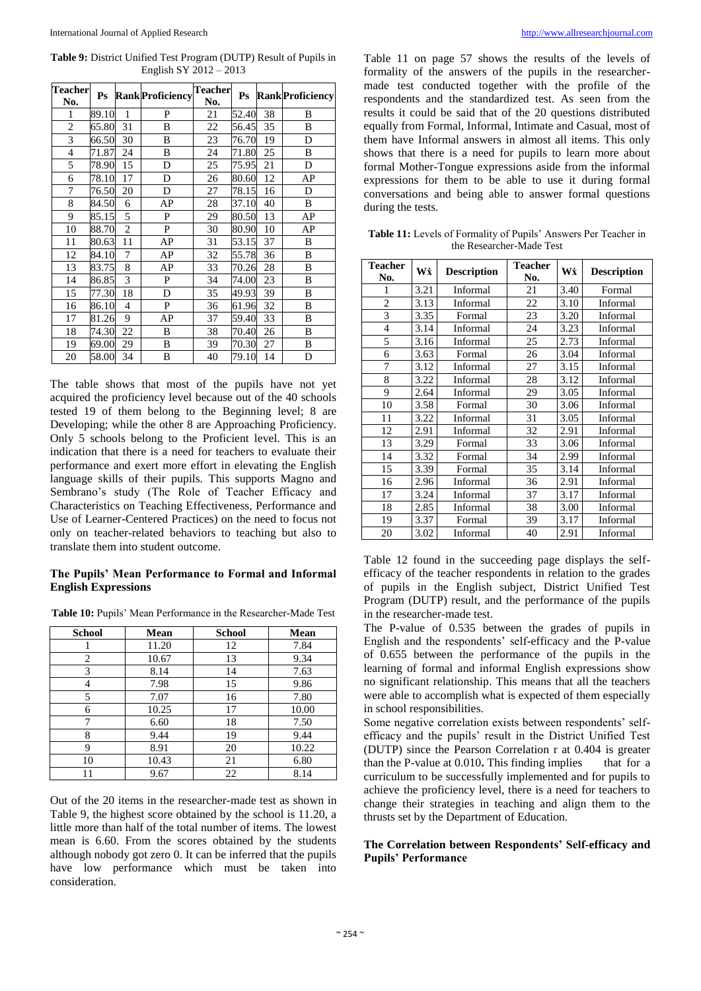**Table 9:** District Unified Test Program (DUTP) Result of Pupils in English SY 2012 – 2013

| <b>Teacher</b> | $\mathbf{P}\mathbf{s}$ |                | <b>Rank Proficiency</b> | <b>Teacher</b> | P <sub>S</sub> |    | <b>Rank</b> Proficiency |
|----------------|------------------------|----------------|-------------------------|----------------|----------------|----|-------------------------|
| No.            |                        |                |                         | No.            |                |    |                         |
| 1              | 89.10                  | 1              | P                       | 21             | 52.40          | 38 | B                       |
| $\overline{2}$ | 65.80                  | 31             | B                       | 22             | 56.45          | 35 | B                       |
| 3              | 66.50                  | 30             | B                       | 23             | 76.70          | 19 | D                       |
| $\overline{4}$ | 71.87                  | 24             | B                       | 24             | 71.80          | 25 | B                       |
| 5              | 78.90                  | 15             | D                       | 25             | 75.95          | 21 | D                       |
| 6              | 78.10                  | 17             | D                       | 26             | 80.60          | 12 | AP                      |
| 7              | 76.50                  | 20             | D                       | 27             | 78.15          | 16 | D                       |
| 8              | 84.50                  | 6              | AP                      | 28             | 37.10          | 40 | B                       |
| 9              | 85.15                  | 5              | P                       | 29             | 80.50          | 13 | AP                      |
| 10             | 88.70                  | $\overline{c}$ | P                       | 30             | 80.90          | 10 | AP                      |
| 11             | 80.63                  | 11             | AP                      | 31             | 53.15          | 37 | B                       |
| 12             | 84.10                  | 7              | AP                      | 32             | 55.78          | 36 | B                       |
| 13             | 83.75                  | 8              | AP                      | 33             | 70.26          | 28 | B                       |
| 14             | 86.85                  | 3              | P                       | 34             | 74.00          | 23 | B                       |
| 15             | 77.30                  | 18             | D                       | 35             | 49.93          | 39 | B                       |
| 16             | 86.10                  | $\overline{4}$ | P                       | 36             | 61.96          | 32 | B                       |
| 17             | 81.26                  | 9              | AP                      | 37             | 59.40          | 33 | B                       |
| 18             | 74.30                  | 22             | B                       | 38             | 70.40          | 26 | B                       |
| 19             | 69.00                  | 29             | B                       | 39             | 70.30          | 27 | B                       |
| 20             | 58.00                  | 34             | B                       | 40             | 79.10          | 14 | D                       |

The table shows that most of the pupils have not yet acquired the proficiency level because out of the 40 schools tested 19 of them belong to the Beginning level; 8 are Developing; while the other 8 are Approaching Proficiency. Only 5 schools belong to the Proficient level. This is an indication that there is a need for teachers to evaluate their performance and exert more effort in elevating the English language skills of their pupils. This supports Magno and Sembrano's study (The Role of Teacher Efficacy and Characteristics on Teaching Effectiveness, Performance and Use of Learner-Centered Practices) on the need to focus not only on teacher-related behaviors to teaching but also to translate them into student outcome.

#### **The Pupils' Mean Performance to Formal and Informal English Expressions**

**Table 10:** Pupils' Mean Performance in the Researcher-Made Test

| <b>School</b>  | Mean  | <b>School</b> | Mean  |  |
|----------------|-------|---------------|-------|--|
|                | 11.20 | 12            | 7.84  |  |
| $\overline{c}$ | 10.67 | 13            | 9.34  |  |
| 3              | 8.14  | 14            | 7.63  |  |
| 4              | 7.98  | 15            | 9.86  |  |
| 5              | 7.07  | 16            | 7.80  |  |
| 6              | 10.25 | 17            | 10.00 |  |
| 7              | 6.60  | 18            | 7.50  |  |
| 8              | 9.44  | 19            | 9.44  |  |
| 9              | 8.91  | 20            | 10.22 |  |
| 10             | 10.43 | 21            | 6.80  |  |
|                | 9.67  | 22            | 8.14  |  |

Out of the 20 items in the researcher-made test as shown in Table 9, the highest score obtained by the school is 11.20, a little more than half of the total number of items. The lowest mean is 6.60. From the scores obtained by the students although nobody got zero 0. It can be inferred that the pupils have low performance which must be taken into consideration.

Table 11 on page 57 shows the results of the levels of formality of the answers of the pupils in the researchermade test conducted together with the profile of the respondents and the standardized test. As seen from the results it could be said that of the 20 questions distributed equally from Formal, Informal, Intimate and Casual, most of them have Informal answers in almost all items. This only shows that there is a need for pupils to learn more about formal Mother-Tongue expressions aside from the informal expressions for them to be able to use it during formal conversations and being able to answer formal questions during the tests.

**Table 11:** Levels of Formality of Pupils' Answers Per Teacher in the Researcher-Made Test

| <b>Teacher</b><br>No. | Wi   | <b>Description</b> | <b>Teacher</b><br>No. | Wż   | <b>Description</b> |  |
|-----------------------|------|--------------------|-----------------------|------|--------------------|--|
| 1                     | 3.21 | Informal           | 21                    | 3.40 | Formal             |  |
| $\overline{2}$        | 3.13 | Informal           | 22                    | 3.10 | Informal           |  |
| 3                     | 3.35 | Formal             | 23                    | 3.20 | Informal           |  |
| $\overline{4}$        | 3.14 | Informal           | 24                    | 3.23 | Informal           |  |
| 5                     | 3.16 | Informal           | 25                    | 2.73 | Informal           |  |
| 6                     | 3.63 | Formal             | 26                    | 3.04 | Informal           |  |
| 7                     | 3.12 | Informal           | 27                    | 3.15 | Informal           |  |
| 8                     | 3.22 | Informal           | 28                    | 3.12 | Informal           |  |
| 9                     | 2.64 | Informal           | 29                    | 3.05 | Informal           |  |
| 10                    | 3.58 | Formal             | 30                    | 3.06 | Informal           |  |
| 11                    | 3.22 | Informal           | 31                    | 3.05 | Informal           |  |
| 12                    | 2.91 | Informal           | 32                    | 2.91 | Informal           |  |
| 13                    | 3.29 | Formal             | 33                    | 3.06 | Informal           |  |
| 14                    | 3.32 | Formal             | 34                    | 2.99 | Informal           |  |
| 15                    | 3.39 | Formal             | 35                    | 3.14 | Informal           |  |
| 16                    | 2.96 | Informal           | 36                    | 2.91 | Informal           |  |
| 17                    | 3.24 | Informal           | 37                    | 3.17 | Informal           |  |
| 18                    | 2.85 | Informal           | 38                    | 3.00 | Informal           |  |
| 19                    | 3.37 | Formal             | 39                    | 3.17 | Informal           |  |
| 20                    | 3.02 | Informal           | 40                    | 2.91 | Informal           |  |

Table 12 found in the succeeding page displays the selfefficacy of the teacher respondents in relation to the grades of pupils in the English subject, District Unified Test Program (DUTP) result, and the performance of the pupils in the researcher-made test.

The P-value of 0.535 between the grades of pupils in English and the respondents' self-efficacy and the P-value of 0.655 between the performance of the pupils in the learning of formal and informal English expressions show no significant relationship. This means that all the teachers were able to accomplish what is expected of them especially in school responsibilities.

Some negative correlation exists between respondents' selfefficacy and the pupils' result in the District Unified Test (DUTP) since the Pearson Correlation r at 0.404 is greater than the P-value at 0.010**.** This finding implies that for a curriculum to be successfully implemented and for pupils to achieve the proficiency level, there is a need for teachers to change their strategies in teaching and align them to the thrusts set by the Department of Education.

# **The Correlation between Respondents' Self-efficacy and Pupils' Performance**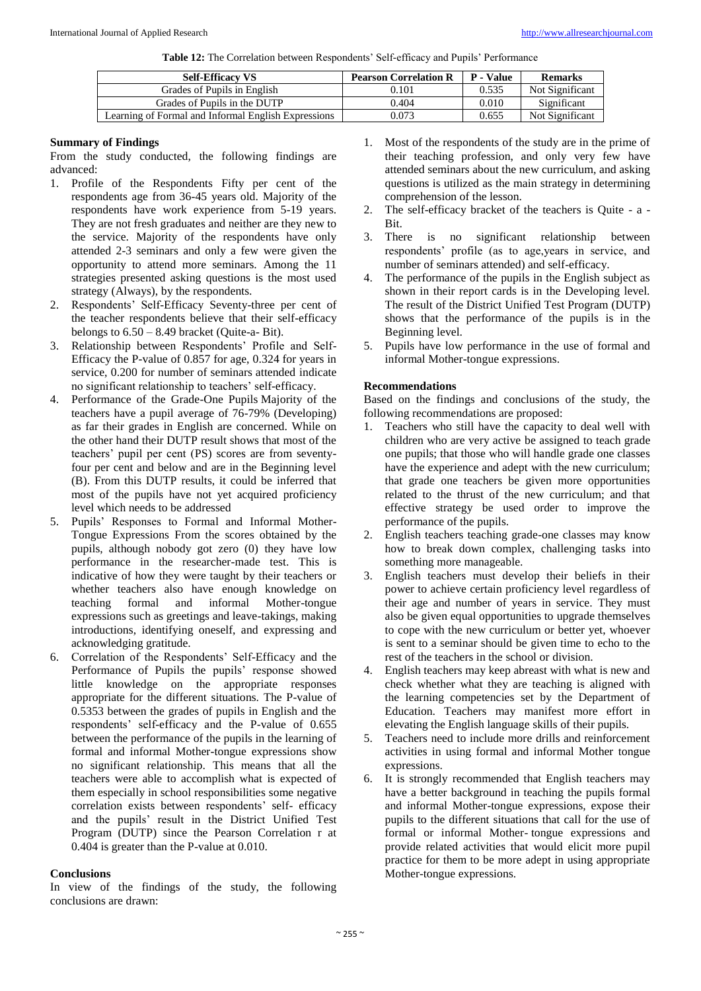**Table 12:** The Correlation between Respondents' Self-efficacy and Pupils' Performance

|                              | <b>Self-Efficacy VS</b>                             | <b>Pearson Correlation R</b> | <b>P</b> - Value | <b>Remarks</b>  |
|------------------------------|-----------------------------------------------------|------------------------------|------------------|-----------------|
|                              | Grades of Pupils in English                         | 0.101                        | 0.535            | Not Significant |
| Grades of Pupils in the DUTP |                                                     | 0.404                        | 0.010            | Significant     |
|                              | Learning of Formal and Informal English Expressions | 0.073                        | 0.655            | Not Significant |

#### **Summary of Findings**

From the study conducted, the following findings are advanced:

- 1. Profile of the Respondents Fifty per cent of the respondents age from 36-45 years old. Majority of the respondents have work experience from 5-19 years. They are not fresh graduates and neither are they new to the service. Majority of the respondents have only attended 2-3 seminars and only a few were given the opportunity to attend more seminars. Among the 11 strategies presented asking questions is the most used strategy (Always), by the respondents.
- 2. Respondents' Self-Efficacy Seventy-three per cent of the teacher respondents believe that their self-efficacy belongs to  $6.50 - 8.49$  bracket (Quite-a- Bit).
- 3. Relationship between Respondents' Profile and Self-Efficacy the P-value of 0.857 for age, 0.324 for years in service, 0.200 for number of seminars attended indicate no significant relationship to teachers' self-efficacy.
- 4. Performance of the Grade-One Pupils Majority of the teachers have a pupil average of 76-79% (Developing) as far their grades in English are concerned. While on the other hand their DUTP result shows that most of the teachers' pupil per cent (PS) scores are from seventyfour per cent and below and are in the Beginning level (B). From this DUTP results, it could be inferred that most of the pupils have not yet acquired proficiency level which needs to be addressed
- 5. Pupils' Responses to Formal and Informal Mother-Tongue Expressions From the scores obtained by the pupils, although nobody got zero (0) they have low performance in the researcher-made test. This is indicative of how they were taught by their teachers or whether teachers also have enough knowledge on teaching formal and informal Mother-tongue expressions such as greetings and leave-takings, making introductions, identifying oneself, and expressing and acknowledging gratitude.
- 6. Correlation of the Respondents' Self-Efficacy and the Performance of Pupils the pupils' response showed little knowledge on the appropriate responses appropriate for the different situations. The P-value of 0.5353 between the grades of pupils in English and the respondents' self-efficacy and the P-value of 0.655 between the performance of the pupils in the learning of formal and informal Mother-tongue expressions show no significant relationship. This means that all the teachers were able to accomplish what is expected of them especially in school responsibilities some negative correlation exists between respondents' self- efficacy and the pupils' result in the District Unified Test Program (DUTP) since the Pearson Correlation r at 0.404 is greater than the P-value at 0.010.

# **Conclusions**

In view of the findings of the study, the following conclusions are drawn:

- 1. Most of the respondents of the study are in the prime of their teaching profession, and only very few have attended seminars about the new curriculum, and asking questions is utilized as the main strategy in determining comprehension of the lesson.
- 2. The self-efficacy bracket of the teachers is Quite a Bit.
- 3. There is no significant relationship between respondents' profile (as to age,years in service, and number of seminars attended) and self-efficacy.
- 4. The performance of the pupils in the English subject as shown in their report cards is in the Developing level. The result of the District Unified Test Program (DUTP) shows that the performance of the pupils is in the Beginning level.
- 5. Pupils have low performance in the use of formal and informal Mother-tongue expressions.

# **Recommendations**

Based on the findings and conclusions of the study, the following recommendations are proposed:

- 1. Teachers who still have the capacity to deal well with children who are very active be assigned to teach grade one pupils; that those who will handle grade one classes have the experience and adept with the new curriculum; that grade one teachers be given more opportunities related to the thrust of the new curriculum; and that effective strategy be used order to improve the performance of the pupils.
- 2. English teachers teaching grade-one classes may know how to break down complex, challenging tasks into something more manageable.
- 3. English teachers must develop their beliefs in their power to achieve certain proficiency level regardless of their age and number of years in service. They must also be given equal opportunities to upgrade themselves to cope with the new curriculum or better yet, whoever is sent to a seminar should be given time to echo to the rest of the teachers in the school or division.
- English teachers may keep abreast with what is new and check whether what they are teaching is aligned with the learning competencies set by the Department of Education. Teachers may manifest more effort in elevating the English language skills of their pupils.
- 5. Teachers need to include more drills and reinforcement activities in using formal and informal Mother tongue expressions.
- 6. It is strongly recommended that English teachers may have a better background in teaching the pupils formal and informal Mother-tongue expressions, expose their pupils to the different situations that call for the use of formal or informal Mother- tongue expressions and provide related activities that would elicit more pupil practice for them to be more adept in using appropriate Mother-tongue expressions.